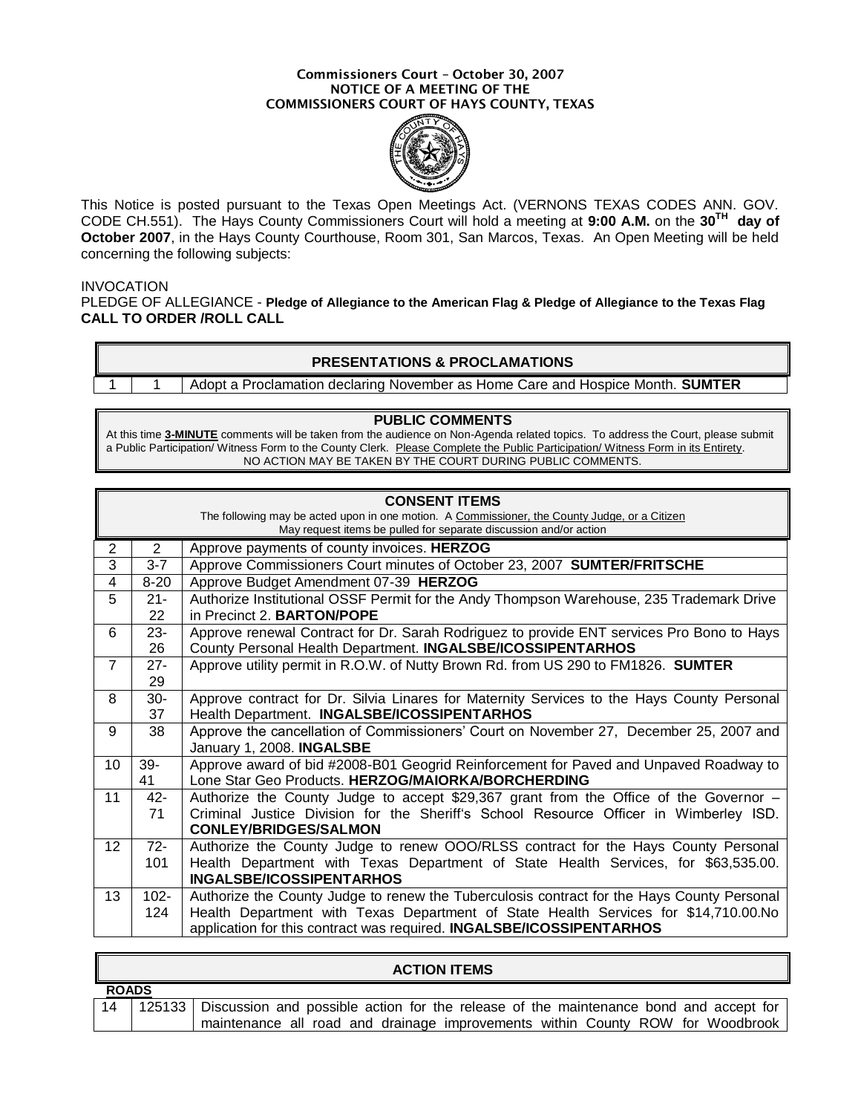#### **Commissioners Court – October 30, 2007 NOTICE OF A MEETING OF THE COMMISSIONERS COURT OF HAYS COUNTY, TEXAS**



This Notice is posted pursuant to the Texas Open Meetings Act. (VERNONS TEXAS CODES ANN. GOV. CODE CH.551). The Hays County Commissioners Court will hold a meeting at **9:00 A.M.** on the **30TH day of October 2007**, in the Hays County Courthouse, Room 301, San Marcos, Texas. An Open Meeting will be held concerning the following subjects:

### INVOCATION

PLEDGE OF ALLEGIANCE - **Pledge of Allegiance to the American Flag & Pledge of Allegiance to the Texas Flag CALL TO ORDER /ROLL CALL**

### **PRESENTATIONS & PROCLAMATIONS**

1 1 Adopt a Proclamation declaring November as Home Care and Hospice Month. **SUMTER**

#### **PUBLIC COMMENTS**

At this time **3-MINUTE** comments will be taken from the audience on Non-Agenda related topics. To address the Court, please submit a Public Participation/ Witness Form to the County Clerk. Please Complete the Public Participation/ Witness Form in its Entirety. NO ACTION MAY BE TAKEN BY THE COURT DURING PUBLIC COMMENTS.

| <b>CONSENT ITEMS</b><br>The following may be acted upon in one motion. A Commissioner, the County Judge, or a Citizen<br>May request items be pulled for separate discussion and/or action |          |                                                                                            |
|--------------------------------------------------------------------------------------------------------------------------------------------------------------------------------------------|----------|--------------------------------------------------------------------------------------------|
| $\overline{2}$                                                                                                                                                                             | 2        | Approve payments of county invoices. HERZOG                                                |
| 3                                                                                                                                                                                          | $3 - 7$  | Approve Commissioners Court minutes of October 23, 2007 SUMTER/FRITSCHE                    |
| 4                                                                                                                                                                                          | $8 - 20$ | Approve Budget Amendment 07-39 HERZOG                                                      |
| 5                                                                                                                                                                                          | $21 -$   | Authorize Institutional OSSF Permit for the Andy Thompson Warehouse, 235 Trademark Drive   |
|                                                                                                                                                                                            | 22       | in Precinct 2. <b>BARTON/POPE</b>                                                          |
| 6                                                                                                                                                                                          | $23 -$   | Approve renewal Contract for Dr. Sarah Rodriguez to provide ENT services Pro Bono to Hays  |
|                                                                                                                                                                                            | 26       | County Personal Health Department. INGALSBE/ICOSSIPENTARHOS                                |
| $\overline{7}$                                                                                                                                                                             | $27 -$   | Approve utility permit in R.O.W. of Nutty Brown Rd. from US 290 to FM1826. SUMTER          |
|                                                                                                                                                                                            | 29       |                                                                                            |
| 8                                                                                                                                                                                          | $30-$    | Approve contract for Dr. Silvia Linares for Maternity Services to the Hays County Personal |
|                                                                                                                                                                                            | 37       | Health Department. INGALSBE/ICOSSIPENTARHOS                                                |
| 9                                                                                                                                                                                          | 38       | Approve the cancellation of Commissioners' Court on November 27, December 25, 2007 and     |
|                                                                                                                                                                                            |          | January 1, 2008. INGALSBE                                                                  |
| 10                                                                                                                                                                                         | $39-$    | Approve award of bid #2008-B01 Geogrid Reinforcement for Paved and Unpaved Roadway to      |
|                                                                                                                                                                                            | 41       | Lone Star Geo Products. HERZOG/MAIORKA/BORCHERDING                                         |
| 11                                                                                                                                                                                         | $42 -$   | Authorize the County Judge to accept \$29,367 grant from the Office of the Governor –      |
|                                                                                                                                                                                            | 71       | Criminal Justice Division for the Sheriff's School Resource Officer in Wimberley ISD.      |
|                                                                                                                                                                                            |          | <b>CONLEY/BRIDGES/SALMON</b>                                                               |
| $12 \overline{ }$                                                                                                                                                                          | $72 -$   | Authorize the County Judge to renew OOO/RLSS contract for the Hays County Personal         |
|                                                                                                                                                                                            | 101      | Health Department with Texas Department of State Health Services, for \$63,535.00.         |
|                                                                                                                                                                                            |          | <b>INGALSBE/ICOSSIPENTARHOS</b>                                                            |
| 13                                                                                                                                                                                         | $102 -$  | Authorize the County Judge to renew the Tuberculosis contract for the Hays County Personal |
|                                                                                                                                                                                            | 124      | Health Department with Texas Department of State Health Services for \$14,710.00.No        |
|                                                                                                                                                                                            |          | application for this contract was required. INGALSBE/ICOSSIPENTARHOS                       |

|              | AUTIUN II EMJ |                                                                                                |  |  |  |
|--------------|---------------|------------------------------------------------------------------------------------------------|--|--|--|
| <b>ROADS</b> |               |                                                                                                |  |  |  |
|              |               | 125133   Discussion and possible action for the release of the maintenance bond and accept for |  |  |  |
|              |               | maintenance all road and drainage improvements within County ROW for Woodbrook                 |  |  |  |

**ACTION ITEMS**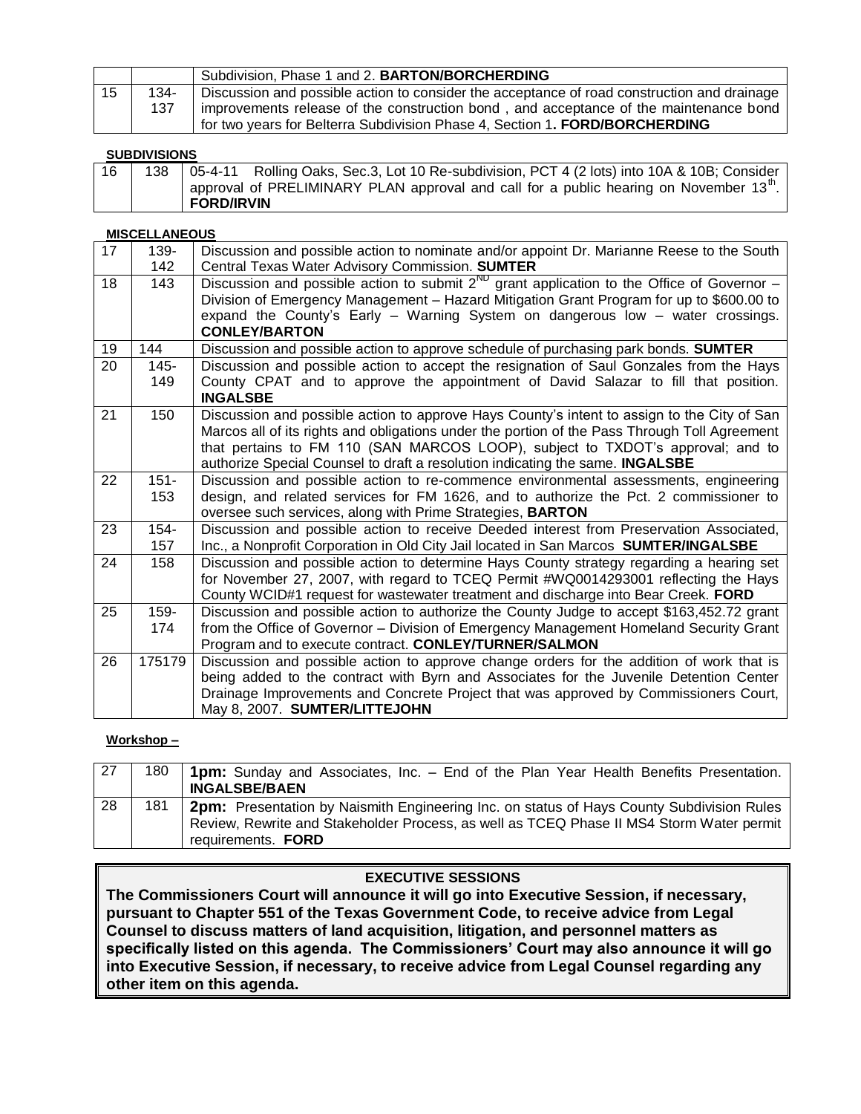|    |             | Subdivision, Phase 1 and 2. BARTON/BORCHERDING                                                                                                                                                                                                                      |
|----|-------------|---------------------------------------------------------------------------------------------------------------------------------------------------------------------------------------------------------------------------------------------------------------------|
| 15 | 134-<br>137 | Discussion and possible action to consider the acceptance of road construction and drainage<br>improvements release of the construction bond, and acceptance of the maintenance bond<br>for two years for Belterra Subdivision Phase 4, Section 1. FORD/BORCHERDING |

### **SUBDIVISIONS**

| 16 | 138   05-4-11 Rolling Oaks, Sec.3, Lot 10 Re-subdivision, PCT 4 (2 lots) into 10A & 10B; Consider   |
|----|-----------------------------------------------------------------------------------------------------|
|    | I approval of PRELIMINARY PLAN approval and call for a public hearing on November 13 <sup>m</sup> . |
|    | <b>FORD/IRVIN</b>                                                                                   |

### **MISCELLANEOUS**

| 17 | 139-    | Discussion and possible action to nominate and/or appoint Dr. Marianne Reese to the South       |
|----|---------|-------------------------------------------------------------------------------------------------|
|    | 142     | Central Texas Water Advisory Commission. SUMTER                                                 |
| 18 | 143     | Discussion and possible action to submit $2^{ND}$ grant application to the Office of Governor – |
|    |         | Division of Emergency Management - Hazard Mitigation Grant Program for up to \$600.00 to        |
|    |         | expand the County's Early $-$ Warning System on dangerous low $-$ water crossings.              |
|    |         | <b>CONLEY/BARTON</b>                                                                            |
| 19 | 144     | Discussion and possible action to approve schedule of purchasing park bonds. <b>SUMTER</b>      |
| 20 | $145 -$ | Discussion and possible action to accept the resignation of Saul Gonzales from the Hays         |
|    | 149     | County CPAT and to approve the appointment of David Salazar to fill that position.              |
|    |         | <b>INGALSBE</b>                                                                                 |
| 21 | 150     | Discussion and possible action to approve Hays County's intent to assign to the City of San     |
|    |         | Marcos all of its rights and obligations under the portion of the Pass Through Toll Agreement   |
|    |         | that pertains to FM 110 (SAN MARCOS LOOP), subject to TXDOT's approval; and to                  |
|    |         | authorize Special Counsel to draft a resolution indicating the same. INGALSBE                   |
| 22 | $151 -$ | Discussion and possible action to re-commence environmental assessments, engineering            |
|    | 153     | design, and related services for FM 1626, and to authorize the Pct. 2 commissioner to           |
|    |         | oversee such services, along with Prime Strategies, BARTON                                      |
| 23 | $154 -$ | Discussion and possible action to receive Deeded interest from Preservation Associated,         |
|    | 157     | Inc., a Nonprofit Corporation in Old City Jail located in San Marcos SUMTER/INGALSBE            |
| 24 | 158     | Discussion and possible action to determine Hays County strategy regarding a hearing set        |
|    |         | for November 27, 2007, with regard to TCEQ Permit #WQ0014293001 reflecting the Hays             |
|    |         | County WCID#1 request for wastewater treatment and discharge into Bear Creek. FORD              |
| 25 | 159-    | Discussion and possible action to authorize the County Judge to accept \$163,452.72 grant       |
|    | 174     | from the Office of Governor - Division of Emergency Management Homeland Security Grant          |
|    |         | Program and to execute contract. CONLEY/TURNER/SALMON                                           |
| 26 | 175179  | Discussion and possible action to approve change orders for the addition of work that is        |
|    |         | being added to the contract with Byrn and Associates for the Juvenile Detention Center          |
|    |         | Drainage Improvements and Concrete Project that was approved by Commissioners Court,            |
|    |         | May 8, 2007. SUMTER/LITTEJOHN                                                                   |

## **Workshop –**

| 27 | 180 | <b>1pm:</b> Sunday and Associates, Inc. – End of the Plan Year Health Benefits Presentation.<br><b>INGALSBE/BAEN</b>                                                                                        |
|----|-----|-------------------------------------------------------------------------------------------------------------------------------------------------------------------------------------------------------------|
| 28 | 181 | 2pm: Presentation by Naismith Engineering Inc. on status of Hays County Subdivision Rules<br>Review, Rewrite and Stakeholder Process, as well as TCEQ Phase II MS4 Storm Water permit<br>requirements. FORD |

## **EXECUTIVE SESSIONS**

**The Commissioners Court will announce it will go into Executive Session, if necessary, pursuant to Chapter 551 of the Texas Government Code, to receive advice from Legal Counsel to discuss matters of land acquisition, litigation, and personnel matters as specifically listed on this agenda. The Commissioners' Court may also announce it will go into Executive Session, if necessary, to receive advice from Legal Counsel regarding any other item on this agenda.**